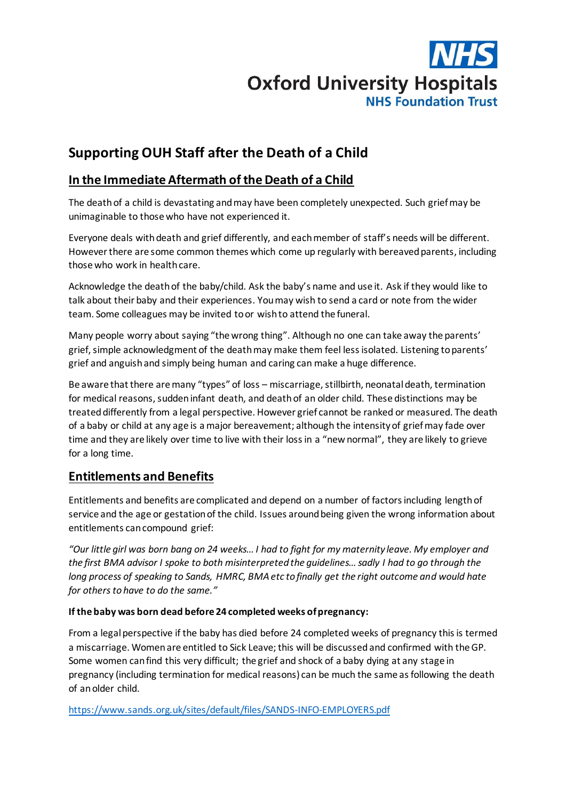# **Oxford University Hospitals NHS Foundation Trust**

## **Supporting OUH Staff after the Death of a Child**

## **In the Immediate Aftermath of the Death of a Child**

The death of a child is devastating and may have been completely unexpected. Such grief may be unimaginable to those who have not experienced it.

Everyone deals with death and grief differently, and each member of staff's needs will be different. However there are some common themes which come up regularly with bereaved parents, including those who work in health care.

Acknowledge the death of the baby/child. Ask the baby's name and use it. Ask if they would like to talk about their baby and their experiences. You may wish to send a card or note from the wider team. Some colleagues may be invited to or wish to attend the funeral.

Many people worry about saying "the wrong thing". Although no one can take away the parents' grief, simple acknowledgment of the death may make them feel less isolated. Listening to parents' grief and anguish and simply being human and caring can make a huge difference.

Be aware that there are many "types" of loss – miscarriage, stillbirth, neonatal death, termination for medical reasons, sudden infant death, and deathof an older child. These distinctions may be treated differently from a legal perspective. However grief cannot be ranked or measured. The death of a baby or child at any age is a major bereavement; although the intensity of grief may fade over time and they are likely over time to live with their loss in a "new normal", they are likely to grieve for a long time.

#### **Entitlements and Benefits**

Entitlements and benefits are complicated and depend on a number of factors including length of service and the age or gestation of the child. Issues around being given the wrong information about entitlements can compound grief:

*"Our little girl was born bang on 24 weeks… I had to fight for my maternity leave. My employer and the first BMA advisor I spoke to both misinterpreted the guidelines… sadly I had to go through the long process of speaking to Sands, HMRC, BMA etc to finally get the right outcome and would hate for others to have to do the same."* 

#### **If the baby was born dead before 24 completed weeks of pregnancy:**

From a legal perspective if the baby has died before 24 completed weeks of pregnancy this is termed a miscarriage. Women are entitled to Sick Leave; this will be discussed and confirmed with the GP. Some women can find this very difficult; the grief and shock of a baby dying at any stage in pregnancy (including termination for medical reasons) can be much the same as following the death of an older child.

<https://www.sands.org.uk/sites/default/files/SANDS-INFO-EMPLOYERS.pdf>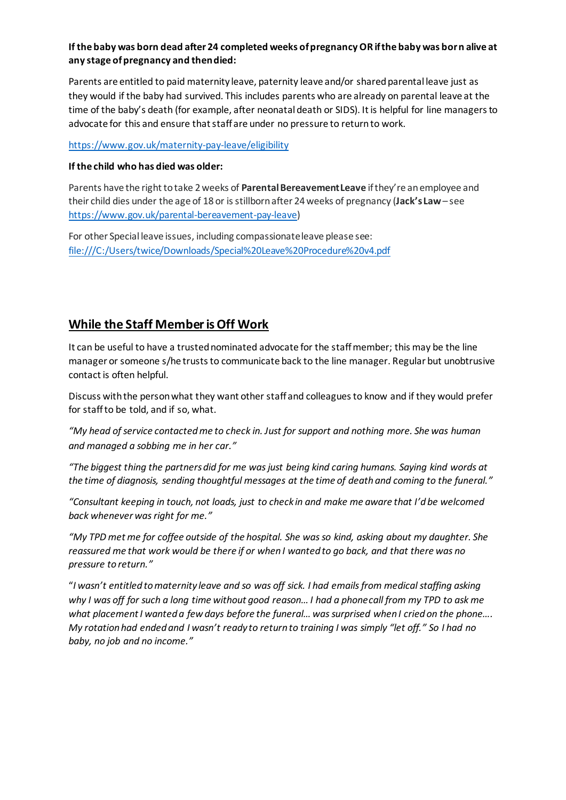#### **If the baby was born dead after 24 completed weeks of pregnancy OR if the baby was born alive at any stage of pregnancy and then died:**

Parents are entitled to paid maternity leave, paternity leave and/or shared parental leave just as they would if the baby had survived. This includes parents who are already on parental leave at the time of the baby's death (for example, after neonatal death or SIDS). It is helpful for line managers to advocate for this and ensure that staff are under no pressure to return to work.

<https://www.gov.uk/maternity-pay-leave/eligibility>

#### **If the child who has died was older:**

Parents have the right to take 2 weeks of **Parental Bereavement Leave** if they're an employee and their child dies under the age of 18 or is stillborn after 24 weeks of pregnancy (**Jack's Law** – see <https://www.gov.uk/parental-bereavement-pay-leave>)

For other Special leave issues, including compassionate leave please see: <file:///C:/Users/twice/Downloads/Special%20Leave%20Procedure%20v4.pdf>

#### **While the Staff Member is Off Work**

It can be useful to have a trusted nominated advocate for the staff member; this may be the line manager or someone s/he trusts to communicate back to the line manager. Regular but unobtrusive contact is often helpful.

Discuss with the person what they want other staff and colleagues to know and if they would prefer for staff to be told, and if so, what.

*"My head of service contacted me to check in. Just for support and nothing more. She was human and managed a sobbing me in her car."*

*"The biggest thing the partners did for me was just being kind caring humans. Saying kind words at the time of diagnosis, sending thoughtful messages at the time of death and coming to the funeral."*

*"Consultant keeping in touch, not loads, just to check in and make me aware that I'd be welcomed back whenever was right for me."* 

*"My TPD met me for coffee outside of the hospital. She was so kind, asking about my daughter. She reassured me that work would be there if or when I wanted to go back, and that there was no pressure to return."*

"*I wasn't entitled to maternity leave and so was off sick. I had emails from medical staffing asking why I was off for such a long time without good reason… I had a phonecall from my TPD to ask me what placement I wanted a few days before the funeral… was surprised when I cried on the phone…. My rotation had ended and I wasn't ready to return to training I was simply "let off." So I had no baby, no job and no income."*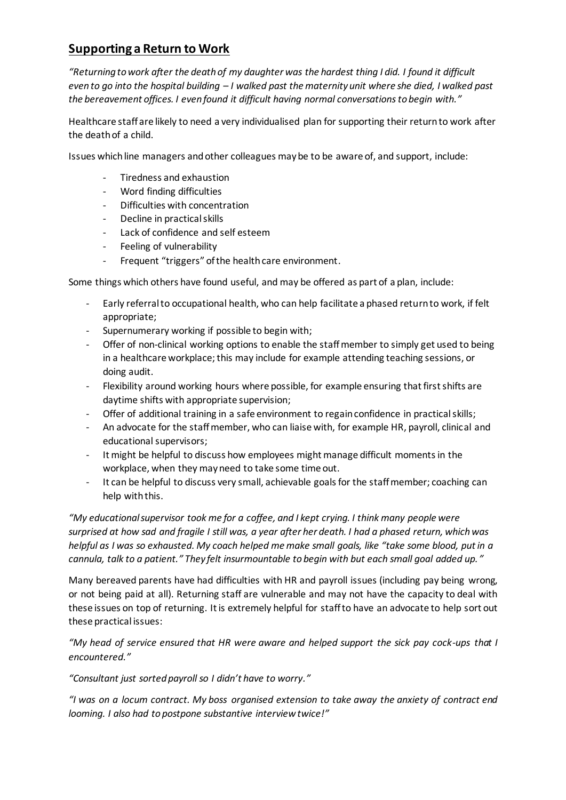## **Supporting a Return to Work**

*"Returning to work after the death of my daughter was the hardest thing I did. I found it difficult even to go into the hospital building – I walked past the maternity unit where she died, I walked past the bereavement offices. I even found it difficult having normal conversations to begin with."*

Healthcare staff are likely to need a very individualised plan for supporting their return to work after the death of a child.

Issues which line managers and other colleagues may be to be aware of, and support, include:

- Tiredness and exhaustion
- Word finding difficulties
- Difficulties with concentration
- Decline in practical skills
- Lack of confidence and self esteem
- Feeling of vulnerability
- Frequent "triggers" of the health care environment.

Some things which others have found useful, and may be offered as part of a plan, include:

- Early referral to occupational health, who can help facilitate a phased return to work, if felt appropriate;
- Supernumerary working if possible to begin with;
- Offer of non-clinical working options to enable the staff member to simply get used to being in a healthcare workplace; this may include for example attending teaching sessions, or doing audit.
- Flexibility around working hours where possible, for example ensuring that first shifts are daytime shifts with appropriate supervision;
- Offer of additional training in a safe environment to regain confidence in practical skills;
- An advocate for the staff member, who can liaise with, for example HR, payroll, clinical and educational supervisors;
- It might be helpful to discuss how employees might manage difficult moments in the workplace, when they may need to take some time out.
- It can be helpful to discuss very small, achievable goals for the staff member; coaching can help with this.

*"My educational supervisor took me for a coffee, and I kept crying. I think many people were surprised at how sad and fragile I still was, a year after her death. I had a phased return, which was helpful as I was so exhausted. My coach helped me make small goals, like "take some blood, put in a cannula, talk to a patient." They felt insurmountable to begin with but each small goal added up. "*

Many bereaved parents have had difficulties with HR and payroll issues (including pay being wrong, or not being paid at all). Returning staff are vulnerable and may not have the capacity to deal with these issues on top of returning. It is extremely helpful for staff to have an advocate to help sort out these practical issues:

*"My head of service ensured that HR were aware and helped support the sick pay cock-ups that I encountered."*

*"Consultant just sorted payroll so I didn't have to worry."*

*"I was on a locum contract. My boss organised extension to take away the anxiety of contract end looming. I also had to postpone substantive interview twice!"*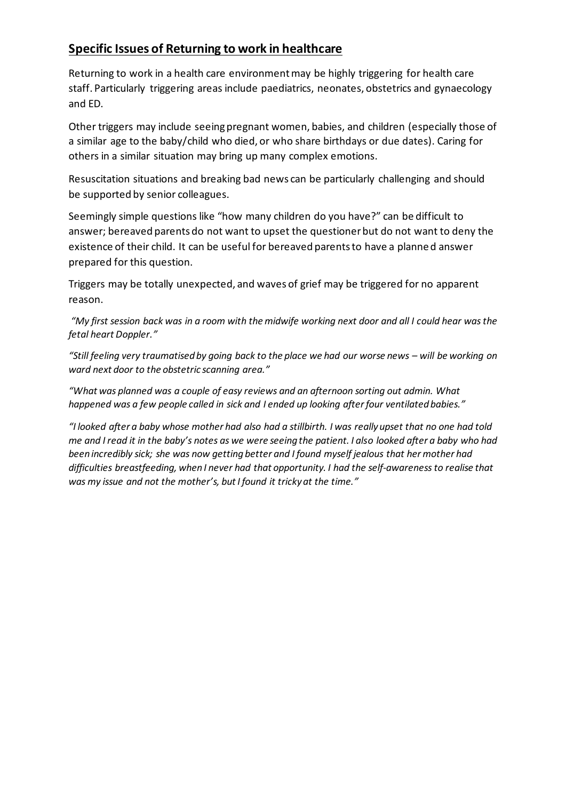## **Specific Issues of Returning to work in healthcare**

Returning to work in a health care environment may be highly triggering for health care staff. Particularly triggering areas include paediatrics, neonates, obstetrics and gynaecology and ED.

Other triggers may include seeing pregnant women, babies, and children (especially those of a similar age to the baby/child who died, or who share birthdays or due dates). Caring for others in a similar situation may bring up many complex emotions.

Resuscitation situations and breaking bad news can be particularly challenging and should be supported by senior colleagues.

Seemingly simple questions like "how many children do you have?" can be difficult to answer; bereaved parents do not want to upset the questioner but do not want to deny the existence of their child. It can be useful for bereaved parents to have a planned answer prepared for this question.

Triggers may be totally unexpected, and waves of grief may be triggered for no apparent reason.

*"My first session back was in a room with the midwife working next door and all I could hear was the fetal heart Doppler."*

*"Still feeling very traumatised by going back to the place we had our worse news – will be working on ward next door to the obstetric scanning area."*

*"What was planned was a couple of easy reviews and an afternoon sorting out admin. What happened was a few people called in sick and I ended up looking after four ventilated babies."*

*"I looked after a baby whose mother had also had a stillbirth. I was really upset that no one had told me and I read it in the baby's notes as we were seeing the patient. I also looked after a baby who had been incredibly sick; she was now getting better and I found myself jealous that her mother had difficulties breastfeeding, when I never had that opportunity. I had the self-awareness to realise that was my issue and not the mother's, but I found it tricky at the time."*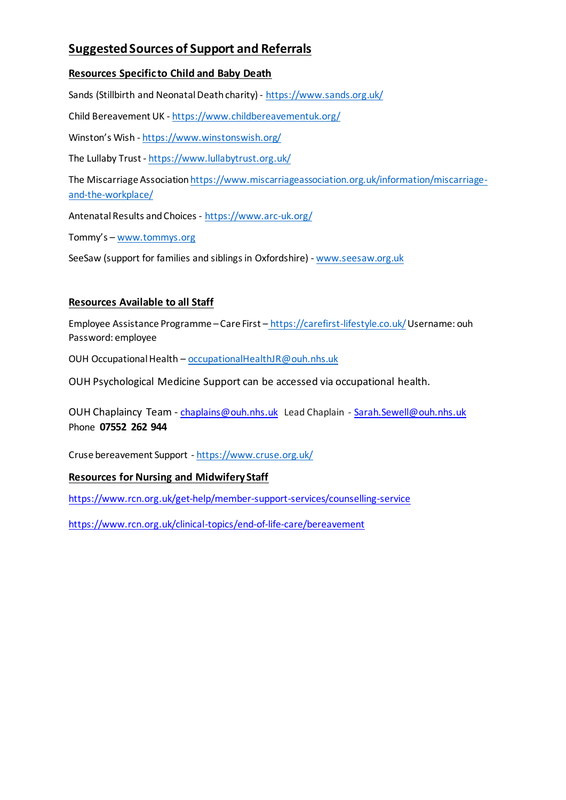## **Suggested Sources of Support and Referrals**

#### **Resources Specific to Child and Baby Death**

Sands (Stillbirth and Neonatal Death charity) - <https://www.sands.org.uk/>

Child Bereavement UK - <https://www.childbereavementuk.org/>

Winston's Wish - <https://www.winstonswish.org/>

The Lullaby Trust - <https://www.lullabytrust.org.uk/>

The Miscarriage Associatio[n https://www.miscarriageassociation.org.uk/information/miscarriage](https://www.miscarriageassociation.org.uk/information/miscarriage-and-the-workplace/)[and-the-workplace/](https://www.miscarriageassociation.org.uk/information/miscarriage-and-the-workplace/)

Antenatal Results and Choices - <https://www.arc-uk.org/>

Tommy's – [www.tommys.org](http://www.tommys.org/)

SeeSaw (support for families and siblings in Oxfordshire) - [www.seesaw.org.uk](http://www.seesaw.org.uk/)

#### **Resources Available to all Staff**

Employee Assistance Programme – Care First – <https://carefirst-lifestyle.co.uk/>Username: ouh Password: employee

OUH Occupational Health – [occupationalHealthJR@ouh.nhs.uk](mailto:occupationalHealthJR@ouh.nhs.uk)

OUH Psychological Medicine Support can be accessed via occupational health.

OUH Chaplaincy Team - [chaplains@ouh.nhs.uk](mailto:chaplains@ouh.nhs.uk) Lead Chaplain - [Sarah.Sewell@ouh.nhs.uk](mailto:Sarah.Sewell@ouh.nhs.uk) Phone **07552 262 944**

Cruse bereavement Support - <https://www.cruse.org.uk/>

#### **Resources for Nursing and Midwifery Staff**

<https://www.rcn.org.uk/get-help/member-support-services/counselling-service>

<https://www.rcn.org.uk/clinical-topics/end-of-life-care/bereavement>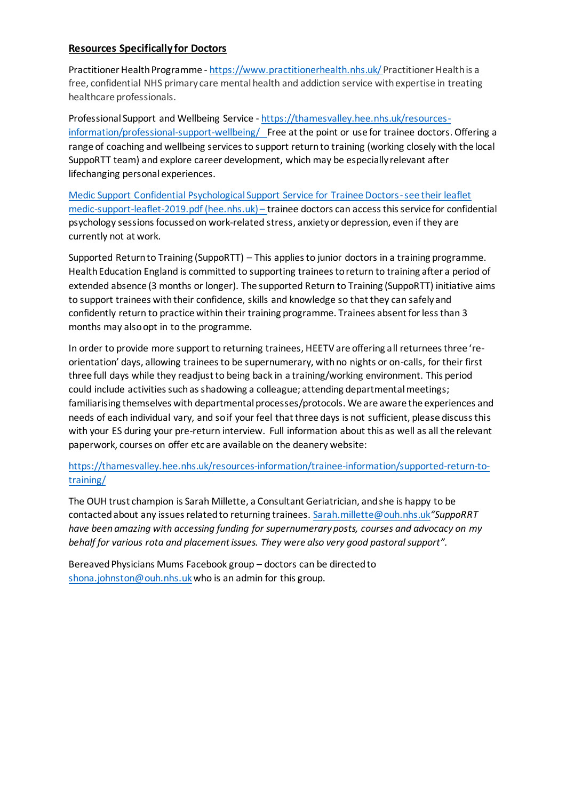#### **Resources Specifically for Doctors**

Practitioner Health Programme - <https://www.practitionerhealth.nhs.uk/> Practitioner Health is a free, confidential NHS primary care mental health and addiction service with expertise in treating healthcare professionals.

Professional Support and Wellbeing Service - [https://thamesvalley.hee.nhs.uk/resources](https://thamesvalley.hee.nhs.uk/resources-information/professional-support-wellbeing/)[information/professional-support-wellbeing/](https://thamesvalley.hee.nhs.uk/resources-information/professional-support-wellbeing/) Free at the point or use for trainee doctors. Offering a range of coaching and wellbeing services to support return to training (working closely with the local SuppoRTT team) and explore career development, which may be especially relevant after lifechanging personal experiences.

Medic Support Confidential Psychological Support Service for Trainee Doctors-see their leaflet [medic-support-leaflet-2019.pdf \(hee.nhs.uk\)](https://thamesvalley.hee.nhs.uk/wp-content/uploads/sites/5/2020/12/medic-support-leaflet-2019.pdf) – trainee doctors can access this service for confidential psychology sessions focussed on work-related stress, anxiety or depression, even if they are currently not at work.

Supported Return to Training (SuppoRTT) – This applies to junior doctors in a training programme. Health Education England is committed to supporting trainees to return to training after a period of extended absence (3 months or longer). The supported Return to Training (SuppoRTT) initiative aims to support trainees with their confidence, skills and knowledge so that they can safely and confidently return to practice within their training programme. Trainees absent for less than 3 months may also opt in to the programme.

In order to provide more support to returning trainees, HEETV are offering all returnees three 'reorientation' days, allowing trainees to be supernumerary, with no nights or on-calls, for their first three full days while they readjust to being back in a training/working environment. This period could include activities such as shadowing a colleague; attending departmental meetings; familiarising themselves with departmental processes/protocols. We are aware the experiences and needs of each individual vary, and so if your feel that three days is not sufficient, please discuss this with your ES during your pre-return interview. Full information about this as well as all the relevant paperwork, courses on offer etc are available on the deanery website:

[https://thamesvalley.hee.nhs.uk/resources-information/trainee-information/supported-return-to](https://thamesvalley.hee.nhs.uk/resources-information/trainee-information/supported-return-to-training/)[training/](https://thamesvalley.hee.nhs.uk/resources-information/trainee-information/supported-return-to-training/)

The OUH trust champion is Sarah Millette, a Consultant Geriatrician, and she is happy to be contacted about any issues related to returning trainees[. Sarah.millette@ouh.nhs.uk](mailto:Sarah.millette@ouh.nhs.uk)*"SuppoRRT have been amazing with accessing funding for supernumerary posts, courses and advocacy on my behalf for various rota and placement issues. They were also very good pastoral support".* 

Bereaved Physicians Mums Facebook group – doctors can be directed to [shona.johnston@ouh.nhs.uk](mailto:shona.johnston@ouh.nhs.uk) who is an admin for this group.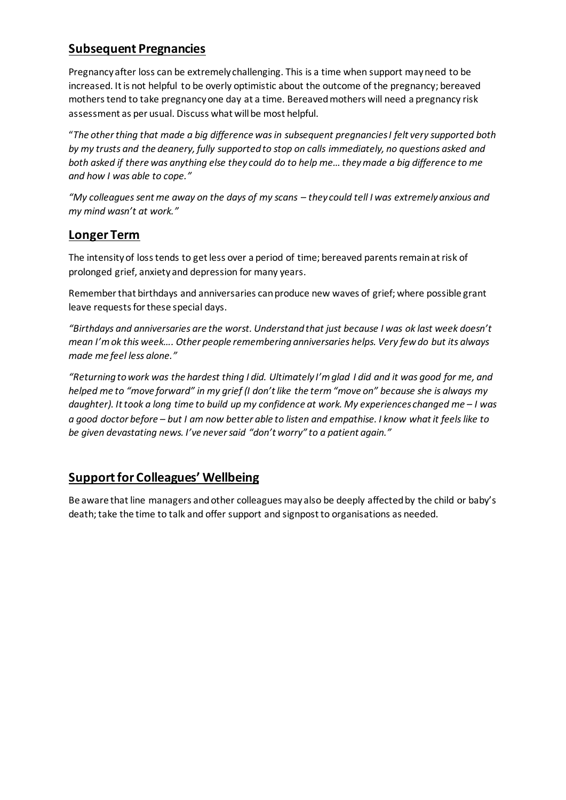## **Subsequent Pregnancies**

Pregnancy after loss can be extremely challenging. This is a time when support may need to be increased. It is not helpful to be overly optimistic about the outcome of the pregnancy; bereaved mothers tend to take pregnancy one day at a time. Bereaved mothers will need a pregnancy risk assessment as per usual. Discuss what will be most helpful.

"*The other thing that made a big difference was in subsequent pregnancies I felt very supported both by my trusts and the deanery, fully supported to stop on calls immediately, no questions asked and both asked if there was anything else they could do to help me… they made a big difference to me and how I was able to cope."*

*"My colleagues sent me away on the days of my scans – they could tell I was extremely anxious and my mind wasn't at work."*

#### **Longer Term**

The intensity of loss tends to get less over a period of time; bereaved parents remain at risk of prolonged grief, anxiety and depression for many years.

Remember that birthdays and anniversaries can produce new waves of grief; where possible grant leave requests for these special days.

*"Birthdays and anniversaries are the worst. Understand that just because I was ok last week doesn't mean I'm ok this week…. Other people remembering anniversaries helps. Very few do but its always made me feel less alone."*

*"Returning to work was the hardest thing I did. Ultimately I'm glad I did and it was good for me, and helped me to "move forward" in my grief (I don't like the term "move on" because she is always my daughter). It took a long time to build up my confidence at work. My experiences changed me - I was a good doctor before – but I am now better able to listen and empathise. I know what it feels like to be given devastating news. I've never said "don't worry" to a patient again."* 

#### **Support for Colleagues' Wellbeing**

Be aware that line managers and other colleagues may also be deeply affected by the child or baby's death; take the time to talk and offer support and signpost to organisations as needed.